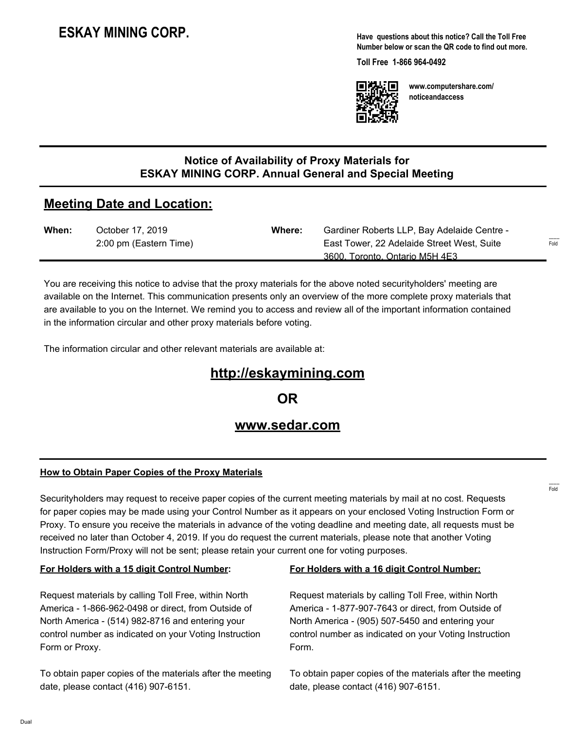# **ESKAY MINING CORP.**

**Have questions about this notice? Call the Toll Free Number below or scan the QR code to find out more.**

**Toll Free 1-866 964-0492**



**www.computershare.com/ noticeandaccess**

### **Notice of Availability of Proxy Materials for ESKAY MINING CORP. Annual General and Special Meeting**

## **Meeting Date and Location:**

| When: | October 17, 2019       | Where: | Gardiner Roberts LLP, Bay Adelaide Centre - |                             |
|-------|------------------------|--------|---------------------------------------------|-----------------------------|
|       | 2:00 pm (Eastern Time) |        | East Tower, 22 Adelaide Street West, Suite  | $1 - 1 - 1 - 1 = 0$<br>Fold |
|       |                        |        | 3600. Toronto. Ontario M5H 4E3              |                             |

You are receiving this notice to advise that the proxy materials for the above noted securityholders' meeting are available on the Internet. This communication presents only an overview of the more complete proxy materials that are available to you on the Internet. We remind you to access and review all of the important information contained in the information circular and other proxy materials before voting.

The information circular and other relevant materials are available at:

## **http://eskaymining.com**

**OR**

## **www.sedar.com**

#### **How to Obtain Paper Copies of the Proxy Materials**

Securityholders may request to receive paper copies of the current meeting materials by mail at no cost. Requests for paper copies may be made using your Control Number as it appears on your enclosed Voting Instruction Form or Proxy. To ensure you receive the materials in advance of the voting deadline and meeting date, all requests must be received no later than October 4, 2019. If you do request the current materials, please note that another Voting Instruction Form/Proxy will not be sent; please retain your current one for voting purposes.

#### **For Holders with a 15 digit Control Number:**

Request materials by calling Toll Free, within North America - 1-866-962-0498 or direct, from Outside of North America - (514) 982-8716 and entering your control number as indicated on your Voting Instruction Form or Proxy.

To obtain paper copies of the materials after the meeting date, please contact (416) 907-6151.

#### **For Holders with a 16 digit Control Number:**

Request materials by calling Toll Free, within North America - 1-877-907-7643 or direct, from Outside of North America - (905) 507-5450 and entering your control number as indicated on your Voting Instruction Form.

To obtain paper copies of the materials after the meeting date, please contact (416) 907-6151.